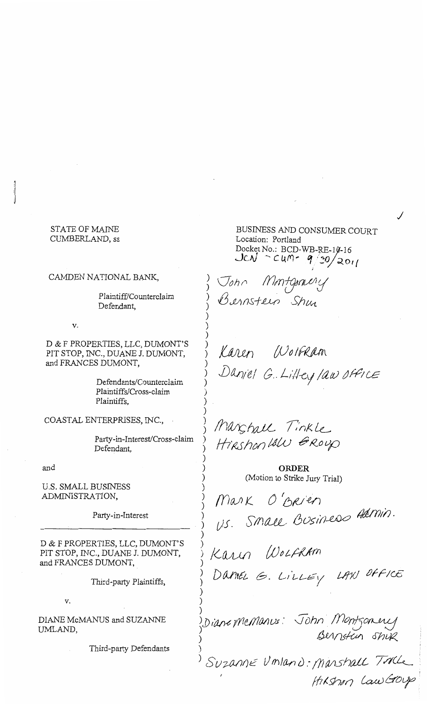# STATE OF MAINE CUMBERLAND, ss

### CAMDEN NATIONAL BANK,

Plaintiff/Counterclaim Defendant,

v.

D & F PROPERTIES, LLC, DUMONT'S PIT STOP, INC., DUANE J. DUMONT, and FRANCES DUMONT,

> Defendants/Counterclaim Plaintiffs/Cross-claim Plaintiffs,

COASTAL ENTERPRISES, INC.,

Party-in-Interest/Cross-claim Defendant,

and

U.S. SMALL BUSINESS ADMINISTRATION,

Party-in-Interest

D & F PROPERTIES, LLC, DUMONT'S PIT STOP, INC., DUANE J. DUMONT, and FRANCES DUMONT,

Third-party Plaintiffs,

v.

DIANE McMANUS and SUZANNE UMLAND,

Third-party Defendants

BUSINESS AND CONSUMER COURT Location: Portland Docket No.: BCD-WB-RE-10-16 *JCN* - cum- 9/30/2011

I

./

Gon*n Montgraviy* Bernsteen Shm

) ) ) ) ) ) )

)

) ) ) ) ) ) ) ) ) ) ) ) ) )

) )

)

) )

)

Karen Wolfkam j JJf1£J;~/ *G .. L//1-c?f ;av* c:J~; *ce* 

*Ihanshall Tinkle* Hirshon lalu Group

> **ORDER**  *(Motion* to Strike Jury Trial)

 $max$  O'Brien ) U.S. Small Business Harring.

Karin *WOLFRAM* 

Daniel G. LillEy LAW Office

) ) j) *(drJ-?* jf7 *Ull()/J* l)J : ) ) John Montgomere Bernstein Shur

Suzanne Umland: Manshall Tolle /17 I.S'h~"t7 *{-<Uv* &o~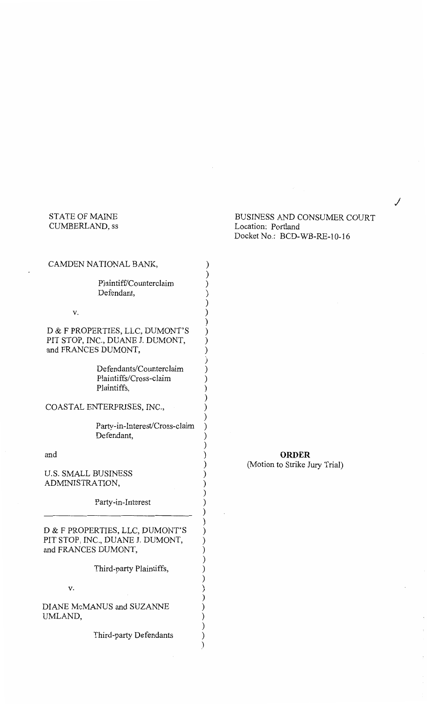# STATE OF MAINE CUMBERLAND, ss

 $C_A$ 

# BUSINESS AND CONSUMER COURT Location: Portland Docket No.: BCD-WB-RE-10-16

j

| CAMDEN NATIONAL BANK,                                                                      |         |
|--------------------------------------------------------------------------------------------|---------|
| Plaintiff/Counterclaim<br>Defendant,                                                       |         |
| ٧.                                                                                         |         |
| D & F PROPERTIES, LLC, DUMONT'S<br>PIT STOP, INC., DUANE J. DUMONT,<br>and FRANCES DUMONT, |         |
| Defendants/Counterclaim<br>Plaintiffs/Cross-claim<br>Plaintiffs,                           |         |
| COASTAL ENTERPRISES, INC.,                                                                 |         |
| Party-in-Interest/Cross-claim<br>Defendant,                                                | ) ) ) ) |
| and                                                                                        |         |
| <b>U.S. SMALL BUSINESS</b><br>ADMINISTRATION,                                              |         |
| Party-in-Interest                                                                          |         |
| D & F PROPERTIES, LLC, DUMONT'S<br>PIT STOP, INC., DUANE J. DUMONT,<br>and FRANCES DUMONT, |         |
| Third-party Plaintiffs,                                                                    |         |
| v.                                                                                         |         |
| DIANE McMANUS and SUZANNE                                                                  |         |

**ORDER**  (Motion to Strike Jury Trial)

Third-party Defendants

) ) ) )

UMLAND,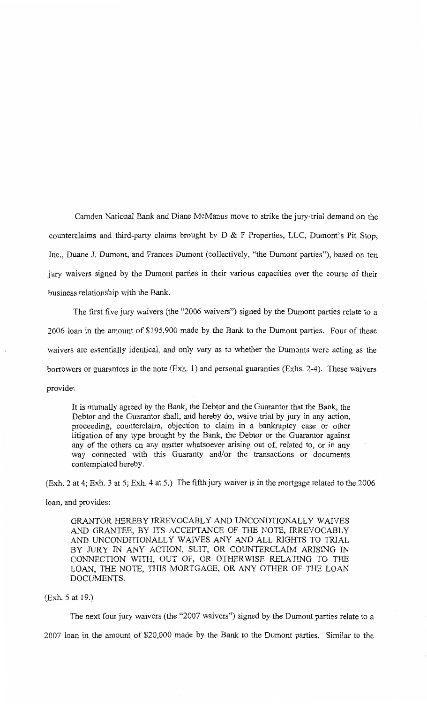Camden National Bank and Diane McManus move to strike the jury-trial demand on the counterclaims and third-party claims brought by  $D \& F$  Properties, LLC, Dumont's Pit Stop, Inc., Duane J. Dumont, and Frances Dumont (collectively, "the Dumont parties"), based on ten jury waivers signed by the Dumont parties in their various capacities over the course of their business relationship with the Bank.

The first five jury waivers (the "2006 waivers") signed by the Dumont parties relate to a 2006 loan in the amount of \$195,900 made by the Bank to the Dumont parties. Four of these waivers are essentially identical, and only vary as to whether the Dumonts were acting as the borrowers or guarantors in the note (Exh. 1) and personal guaranties (Exhs. 2-4). These waivers provide:

It is mutually agreed by the Bank, the Debtor and the Guarantor that the Bank, the Debtor and the Guarantor shall, and hereby do, waive trial by jury in any action, proceeding, counterclaim, objection to claim in a bankruptcy case or other litigation of any type brought by the Bank, the Debtor or the Guarantor against any of the others on any matter whatsoever arising out of, related to, or in any way connected with this Guaranty and/or the transactions or documents contemplated hereby.

(Exh. 2 at 4; Exh. 3 at 5; Exh. 4 at 5.) The fifth jury waiver is in the mortgage related to the 2006

loan, and provides:

GRANTOR HEREBY IRREVOCABLY AND UNCONDTIONALLY WAIVES AND GRANTEE, BY ITS ACCEPTANCE OF THE NOTE, IRREVOCABLY AND UNCONDITIONALLY WAIVES ANY AND ALL RIGHTS TO TRIAL BY JURY IN ANY ACTION, SUIT, OR COUNTERCLAIM ARISING IN CONNECTION WITH, OUT OF, OR OTHERWISE RELATING TO THE LOAN, THE NOTE, THIS MORTGAGE, OR ANY OTHER OF THE LOAN DOCUMENTS.

(Exh. 5 at 19.)

The next four jury waivers (the "2007 waivers") signed by the Dumont parties relate to a

2007 loan in the amount of \$20,000 made by the Bank to the Dumont parties. Similar to the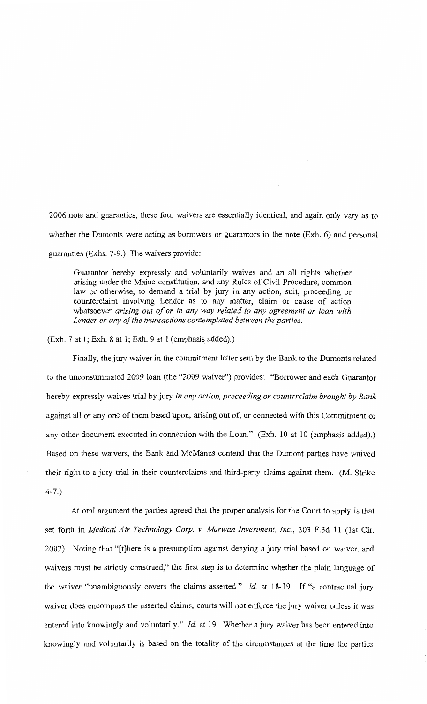2006 note and guaranties, these four waivers are essentially identical, and again only vary as to whether the Dumonts were acting as borrowers or guarantors in the note (Exh. 6) and personal guaranties (Exhs. 7-9.) The waivers provide:

Guarantor hereby expressly and voluntarily waives and an all rights whether arising under the Maine constitution, and any Rules of Civil Procedure, common law or otherwise, to demand a trial by jury in any action, suit, proceeding or counterclaim involving Lender as to any matter, claim or cause of action whatsoever *arising out of or in any way related to any agreement or loan with Lender or any of the transactions contemplated between the parties.* 

(Exh. 7 at 1; Exh. 8 at 1; Exh. 9 at 1 (emphasis added).)

Finally, the jury waiver in the commitment letter sent by the Bank to the Dumonts related to the unconsummated 2009 loan (the "2009 waiver") provides: "Borrower and each Guarantor hereby expressly waives trial by jury *in any action, proceeding or counterclaim brought by Bank*  against all or any one of them based upon, arising out of, or connected with this Commitment or any other document executed in connection with the Loan." (Exh. 10 at 10 (emphasis added).) Based on these waivers, the Bank and McManus contend that the Dumont parties have waived their right to a jury trial in their counterclaims and third-party claims against them. (M. Strike 4-7.)

At oral argument the parties agreed that the proper analysis for the Court to apply is that set forth in *Medical Air Technology Corp. v. Marwan Investment, Inc.,* 303 F.3d 11 (1st Cir. 2002). Noting that "[t]here is a presumption against denying a jury trial based on waiver, and waivers must be strictly construed," the first step is to determine whether the plain language of the waiver "unambiguously covers the claims asserted." *Id* at 18-19. If "a contractual jury waiver does encompass the asserted claims, courts will not enforce the jury waiver unless it was entered into knowingly and voluntarily." *Id.* at 19. Whether a jury waiver has been entered into knowingly and voluntarily is based on the totality of the circumstances at the time the parties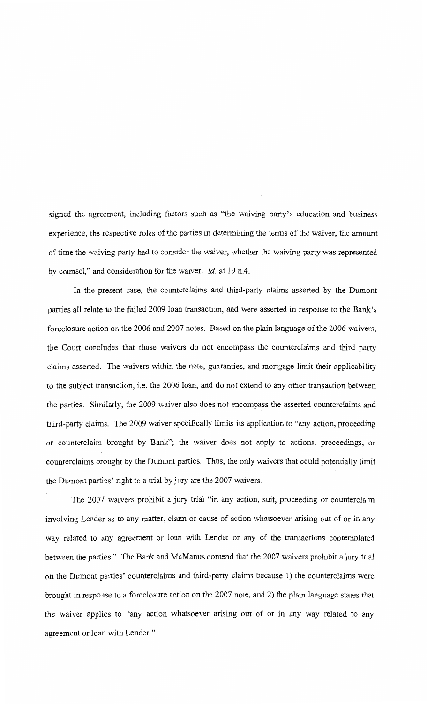signed the agreement, including factors such as "the waiving party's education and business experience, the respective roles of the parties in determining the terms of the waiver, the amount of time the waiving party had to consider the waiver, whether the waiving party was represented by counsel," and consideration for the waiver. *Id* at 19 n.4.

In the present case, the counterclaims and third-party claims asserted by the Dumont parties all relate to the failed 2009 loan transaction, and were asserted in response to the Bank's foreclosure action on the 2006 and 2007 notes. Based on the plain language of the 2006 waivers, the Court concludes that those waivers do not encompass the counterclaims and third party claims asserted. The waivers within the note, guaranties, and mortgage limit their applicability to the subject transaction, i.e. the 2006 loan, and do not extend to any other transaction between the parties. Similarly, the 2009 waiver also does not encompass the asserted counterclaims and third-party claims. The 2009 waiver specifically limits its application to "any action, proceeding or counterclaim brought by Bank"; the waiver does not apply to actions, proceedings, or counterclaims brought by the Dumont parties. Thus, the only waivers that could potentially limit the Dumont parties' right to a trial by jury are the 2007 waivers.

The 2007 waivers prohibit a jury trial "in any action, suit, proceeding or counterclaim involving Lender as to any matter, claim or cause of action whatsoever arising out of or in any way related to any agreement or loan with Lender or any of the transactions contemplated between the parties." The Bank and McManus contend that the 2007 waivers prohibit a jury trial on the Dumont parties' counterclaims and third-party claims because 1) the counterclaims were brought in response to a foreclosure action on the 2007 note, and 2) the plain language states that the waiver applies to "any action whatsoever arising out of or in any way related to any agreement or loan with Lender."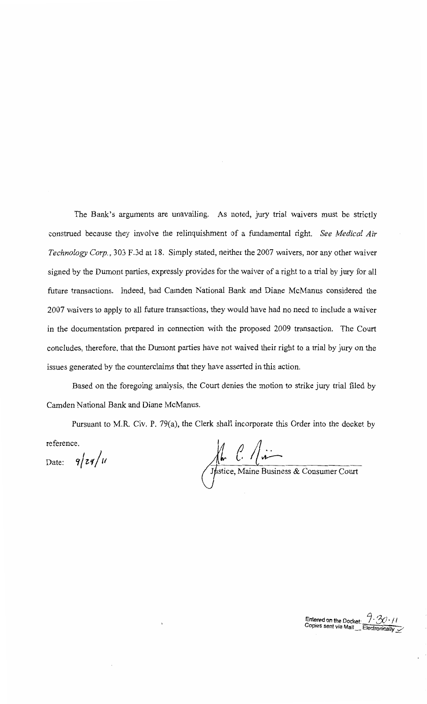The Bank's arguments are unavailing. As noted, jury trial waivers must be strictly construed because they involve the relinquishment of a fundamental right. *See Medical Air Technology Corp.,* 303 F.3d at 18. Simply stated, neither the 2007 waivers, nor any other waiver signed by the Dumont parties, expressly provides for the waiver of a right to a trial by jury for all future transactions. Indeed, had Camden National Bank and Diane McManus considered the 2007 waivers to apply to all future transactions, they would have had no need to include a waiver in the documentation prepared in connection with the proposed 2009 transaction. The Court concludes, therefore, that the Dumont parties have not waived their right to a trial by jury on the issues generated by the counterclaims that they have asserted in this action.

Based on the foregoing analysis, the Court denies the motion to strike jury trial filed by Camden National Bank and Diane McManus.

Pursuant to M.R. Civ. P. 79(a), the Clerk shall incorporate this Order into the docket by reference.

Date:  $9/zq/u$   $\qquad \qquad \text{Mh}$   $\qquad \qquad$   $\sqrt{u}$ 

stice, Maine Business & Consumer Court

Entered on the Docket:  $7.30 \cdot 11$ Copies sent via Mail Electronically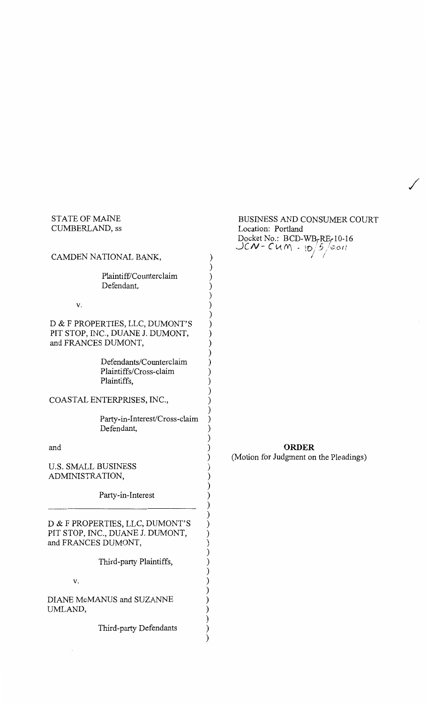# STATE OF MAINE CUMBERLAND, ss

| CAMDEN NATIONAL BANK,                                                                      |
|--------------------------------------------------------------------------------------------|
| Plaintiff/Counterclaim<br>Defendant,                                                       |
| v.                                                                                         |
| D & F PROPERTIES, LLC, DUMONT'S<br>PIT STOP, INC., DUANE J. DUMONT,<br>and FRANCES DUMONT, |
| Defendants/Counterclaim<br>Plaintiffs/Cross-claim<br>Plaintiffs,                           |
| COASTAL ENTERPRISES, INC.,                                                                 |
| Party-in-Interest/Cross-claim<br>Defendant,                                                |
| and                                                                                        |
| <b>U.S. SMALL BUSINESS</b><br>ADMINISTRATION,                                              |
| Party-in-Interest                                                                          |
| D & F PROPERTIES, LLC, DUMONT'S<br>PIT STOP, INC., DUANE J. DUMONT,<br>and FRANCES DUMONT, |
| Third-party Plaintiffs,                                                                    |
| v.                                                                                         |
| DIANE McMANUS and SUZANNE<br>UMLAND,                                                       |
| Third-party Defendants                                                                     |

# BUSINESS AND CONSUMER COURT Location: Portland Docket No.:  $BCD-WB_rRE_r10-16$ *JCN-Cum - 10/5/2011*

 $\checkmark$ 

) ) ) ) ) ) ) ) ) ) ) ) ) ) ) ) ) ) ) ) ) ) ) ) ) ) ) ) ) ) ) ) ) ) ) ) ) ) ) ) )

# **ORDER**

(Motion for Judgment on the Pleadings)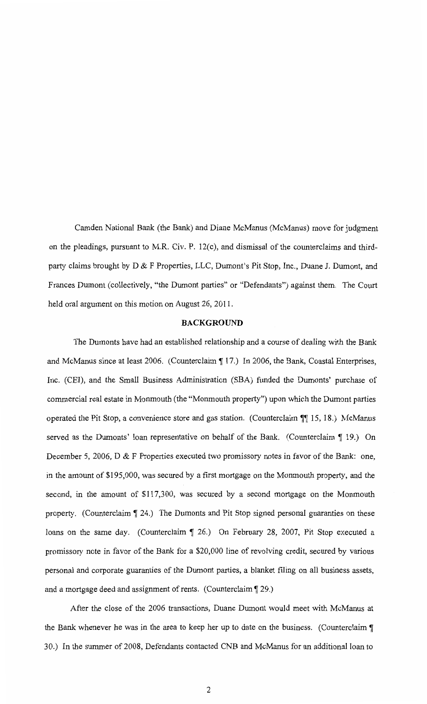Camden National Bank (the Bank) and Diane McManus (McManus) move for judgment on the pleadings, pursuant to M.R. Civ. P. 12(c), and dismissal of the counterclaims and thirdparty claims brought by D & F Properties, LLC, Dumont's Pit Stop, Inc., Duane J. Dumont, and Frances Dumont (collectively, "the Dumont parties" or "Defendants") against them. The Court held oral argument on this motion on August 26, 2011.

#### **BACKGROUND**

The Dumonts have had an established relationship and a course of dealing with the Bank and McManus since at least 2006. (Counterclaim  $\parallel$  17.) In 2006, the Bank, Coastal Enterprises, Inc. (CEI), and the Small Business Administration (SBA) funded the Dumonts' purchase of commercial real estate in Monmouth (the "Monmouth property") upon which the Dumont parties operated the Pit Stop, a convenience store and gas station. (Counterclaim  $\P$ , 15, 18.) McManus served as the Dumonts' loan representative on behalf of the Bank. (Counterclaim  $\P$  19.) On December 5, 2006, D & F Properties executed two promissory notes in favor of the Bank: one, in the amount of \$195,000, was secured by a first mortgage on the Monmouth property, and the second, in the amount of \$117,300, was secured by a second mortgage on the Monmouth property. (Counterclaim  $\P$  24.) The Dumonts and Pit Stop signed personal guaranties on these loans on the same day. (Counterclaim | 26.) On February 28, 2007, Pit Stop executed a promissory note in favor of the Bank for a \$20,000 line of revolving credit, secured by various personal and corporate guaranties of the Dumont parties, a blanket filing on all business assets, and a mortgage deed and assignment of rents. (Counterclaim  $\llbracket 29.$ )

After the close of the 2006 transactions, Duane Dumont would meet with McManus at the Bank whenever he was in the area to keep her up to date on the business. (Counterclaim  $\P$ 30.) In the summer of 2008, Defendants contacted CNB and McManus for an additional loan to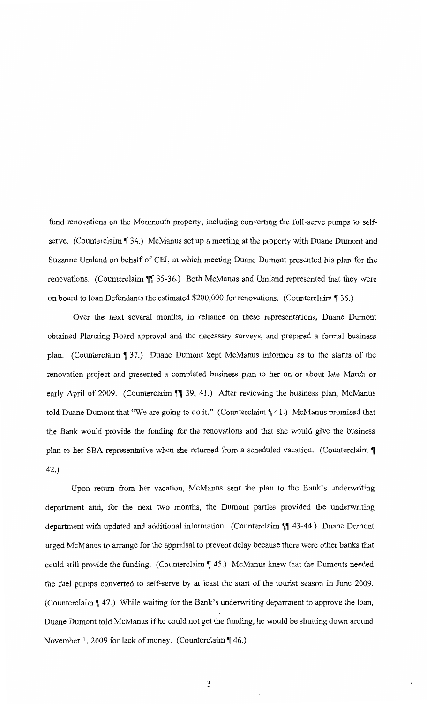fund renovations on the Monmouth property, including converting the full-serve pumps to selfserve. (Counterclaim ¶ 34.) McManus set up a meeting at the property with Duane Dumont and Suzanne Umland on behalf of CEI, at which meeting Duane Dumont presented his plan for the renovations. (Counterclaim  $\P$  35-36.) Both McManus and Umland represented that they were on board to loan Defendants the estimated \$200,000 for renovations. (Counterclaim  $\sqrt{36}$ .)

Over the next several months, in reliance on these representations, Duane Dumont obtained Planning Board approval and the necessary surveys, and prepared a formal business plan. (Counterclaim  $\lceil 37. \rceil$ ) Duane Dumont kept McManus informed as to the status of the renovation project and presented a completed business plan to her on or about late March or early April of 2009. (Counterclaim  $\P$  39, 41.) After reviewing the business plan, McManus told Duane Dumont that "We are going to do it." (Counterclaim  $\P$  41.) McManus promised that the Bank would provide the funding for the renovations and that she would give the business plan to her SBA representative when she returned from a scheduled vacation. (Counterclaim  $\P$ 42.)

Upon return from her vacation, McManus sent the plan to the Bank's underwriting department and, for the next two months, the Dumont parties provided the underwriting department with updated and additional information. (Counterclaim  $\sqrt{\frac{43-44}}$ .) Duane Dumont urged McManus to arrange for the appraisal to prevent delay because there were other banks that could still provide the funding. (Counterclaim  $\parallel$  45.) McManus knew that the Dumonts needed the fuel pumps converted to self-serve by at least the start of the tourist season in June 2009. (Counterclaim  $\P$  47.) While waiting for the Bank's underwriting department to approve the loan, Duane Dumont told McManus if he could not get the funding, he would be shutting down around November 1, 2009 for lack of money. (Counterclaim  $\P$  46.)

3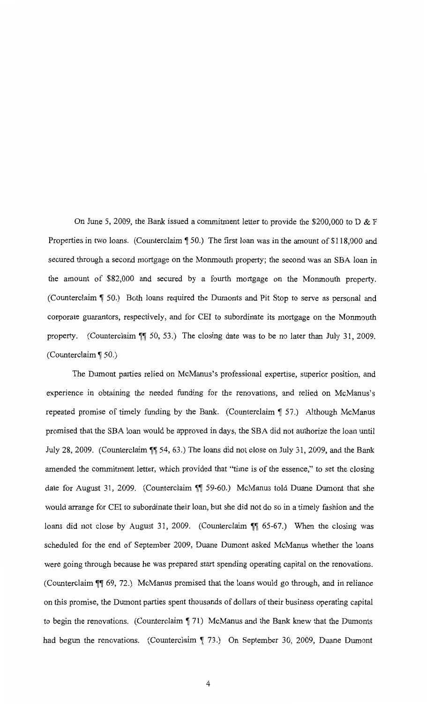On June 5, 2009, the Bank issued a commitment letter to provide the \$200,000 to D & F Properties in two loans. (Counterclaim  $\parallel$  50.) The first loan was in the amount of \$118,000 and secured through a second mortgage on the Monmouth property; the second was an SBA loan in the amount of \$82,000 and secured by a fourth mortgage on the Monmouth property. (Counterclaim  $\lceil 50.6 \rceil$  Both loans required the Dumonts and Pit Stop to serve as personal and corporate guarantors, respectively, and for CEI to subordinate its mortgage on the Monmouth property. (Counterclaim  $\P$  50, 53.) The closing date was to be no later than July 31, 2009. (Counterclaim  $\P$  50.)

The Dumont parties relied on McManus's professional expertise, superior position, and experience in obtaining the needed funding for the renovations, and relied on McManus's repeated promise of timely funding by the Bank. (Counterclaim  $\sqrt{57}$ .) Although McManus promised that the SBA loan would be approved in days, the SBA did not authorize the loan until July 28, 2009. (Counterclaim \[ 54, 63.) The loans did not close on July 31, 2009, and the Bank amended the commitment letter, which provided that "time is of the essence," to set the closing date for August 31, 2009. (Counterclaim \[ 59-60.) McManus told Duane Dumont that she would arrange for CEI to subordinate their loan, but she did not do so in a timely fashion and the loans did not close by August 31, 2009. (Counterclaim ¶¶ 65-67.) When the closing was scheduled for the end of September 2009, Duane Dumont asked McManus whether the loans were going through because he was prepared start spending operating capital on the renovations. (Counterclaim  $~\blacksquare~$  69, 72.) McManus promised that the loans would go through, and in reliance on this promise, the Dumont parties spent thousands of dollars of their business operating capital to begin the renovations. (Counterclaim  $\P$  71) McManus and the Bank knew that the Dumonts had begun the renovations. (Counterclaim  $\parallel$  73.) On September 30, 2009, Duane Dumont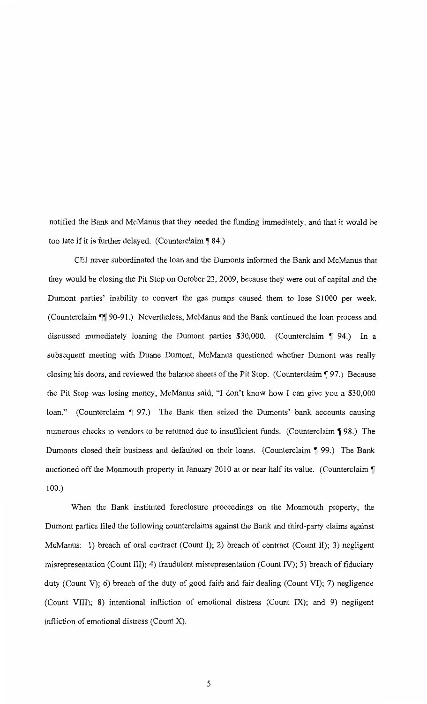notified the Bank and McManus that they needed the funding immediately, and that it would be too late if it is further delayed. (Counterclaim  $\sqrt{84}$ .)

CEI never subordinated the loan and the Dumonts informed the Bank and McManus that they would be closing the Pit Stop on October 23, 2009, because they were out of capital and the Dumont parties' inability to convert the gas pumps caused them to lose \$1000 per week. (Counterclaim  $\P$  90-91.) Nevertheless, McManus and the Bank continued the loan process and discussed immediately loaning the Dumont parties  $$30,000$ . (Counterclaim  $\llbracket 94.$ ) In a subsequent meeting with Duane Dumont, McManus questioned whether Dumont was really closing his doors, and reviewed the balance sheets of the Pit Stop. (Counterclaim ¶ 97.) Because the Pit Stop was losing money, McManus said, "I don't know how I can give you a \$30,000 loan." (Counterclaim  $\llbracket 97 \rrbracket$ ) The Bank then seized the Dumonts' bank accounts causing numerous checks to vendors to be returned due to insufficient funds. (Counterclaim  $\P$  98.) The Dumonts closed their business and defaulted on their loans. (Counterclaim  $\lbrack \lbrack 99 \rbrack \rbrack$  The Bank auctioned off the Monmouth property in January 2010 at or near half its value. (Counterclaim  $\P$ 100.)

When the Bank instituted foreclosure proceedings on the Monmouth property, the Dumont parties filed the following counterclaims against the Bank and third-party claims against McManus: 1) breach of oral contract (Count I); 2) breach of contract (Count II); 3) negligent misrepresentation (Count III); 4) fraudulent misrepresentation (Count IV); 5) breach of fiduciary duty (Count V); 6) breach of the duty of good faith and fair dealing (Count VI); 7) negligence (Count VIII); 8) intentional infliction of emotional distress (Count IX); and 9) negligent infliction of emotional distress (Count X).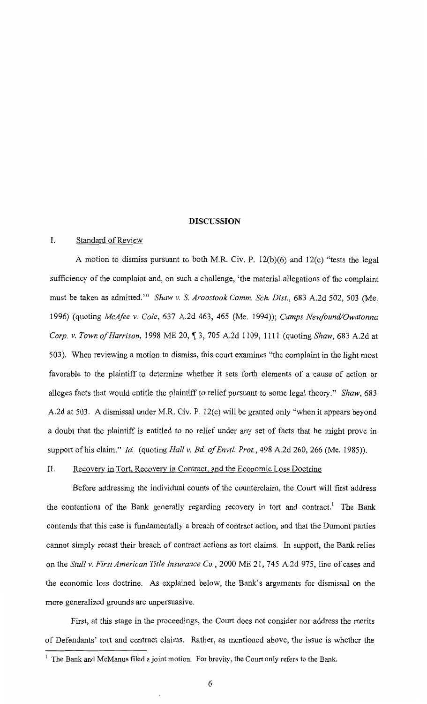#### **DISCUSSION**

# I. Standard of Review

A motion to dismiss pursuant to both M.R. Civ. P. 12(b)(6) and 12(c) "tests the legal sufficiency of the complaint and, on such a challenge, 'the material allegations of the complaint must be taken as admitted.'" *Shaw v.* S. *Aroostook Comm. Sch. Dist.,* 683 A.2d 502, 503 (Me. 1996) (quoting *McAfee v. Cole,* 637 A.2d 463, 465 (Me. 1994)); *Camps Newfound/Owatonna Corp. v. Town of Harrison,* 1998 ME 20, ~ 3, 705 A.2d 1109, 1111 (quoting *Shaw,* 683 A.2d at 503). When reviewing a motion to dismiss, this court examines "the complaint in the light most favorable to the plaintiff to determine whether it sets forth elements of a cause of action or alleges facts that would entitle the plaintiff to relief pursuant to some legal theory." *Shaw*, 683 A.2d at 503. A dismissal under M.R. Civ. P. 12(c) will be granted only "when it appears beyond a doubt that the plaintiff is entitled to no relief under any set of facts that he might prove in support of his claim." *Id* (quoting *Hall v. Bd of Envtl. Prot.,* 498 A.2d 260, 266 (Me. 1985)).

# II. Recovery in Tort, Recovery in Contract, and the Economic Loss Doctrine

Before addressing the individual counts of the counterclaim, the Court will first address the contentions of the Bank generally regarding recovery in tort and contract.<sup>1</sup> The Bank contends that this case is fundamentally a breach of contract action, and that the Dumont parties cannot simply recast their breach of contract actions as tort claims. In support, the Bank relies on the *Stull v. First American Title Insurance Co.,* 2000 ME 21, 745 A.2d 975, line of cases and the economic loss doctrine. As explained below, the Bank's arguments for dismissal on the more generalized grounds are unpersuasive.

First, at this stage in the proceedings, the Court does not consider nor address the merits of Defendants' tort and contract claims. Rather, as mentioned above, the issue is whether the

 $<sup>1</sup>$  The Bank and McManus filed a joint motion. For brevity, the Court only refers to the Bank.</sup>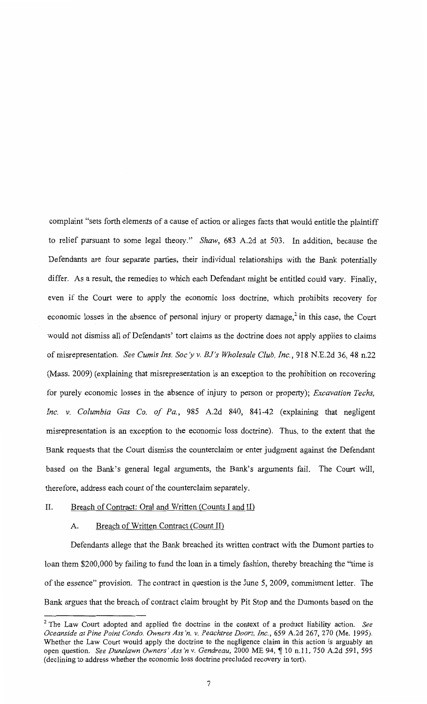complaint "sets forth elements of a cause of action or alleges facts that would entitle the plaintiff to relief pursuant to some legal theory." *Shaw,* 683 A.2d at 503. In addition, because the Defendants are four separate parties, their individual relationships with the Bank potentially differ. As a result, the remedies to which each Defendant might be entitled could vary. Finally, even if the Court were to apply the economic loss doctrine, which prohibits recovery for economic losses in the absence of personal injury or property damage,<sup>2</sup> in this case, the Court would not dismiss all of Defendants' tort claims as the doctrine does not apply applies to claims of misrepresentation. *See Cumis Ins. Soc* y *v. BJ's Wholesale Club, Inc.,* 918 N.E.2d 36, 48 n.22 (Mass. 2009) (explaining that misrepresentation is an exception to the prohibition on recovering for purely economic losses in the absence of injury to person or property); *Excavation Techs, Inc. v. Columbia Gas Co. of Pa.,* 985 A.2d 840, 841-42 (explaining that negligent misrepresentation is an exception to the economic loss doctrine). Thus, to the extent that the Bank requests that the Court dismiss the counterclaim or enter judgment against the Defendant based on the Bank's general legal arguments, the Bank's arguments fail. The Court will, therefore, address each count of the counterclaim separately.

#### II. Breach of Contract: Oral and Written (Counts I and II)

# A. Breach of Written Contract (Count II)

Defendants allege that the Bank breached its written contract with the Dumont parties to loan them \$200,000 by failing to fund the loan in a timely fashion, thereby breaching the "time is of the essence" provision. The contract in question is the June 5, 2009, commitment letter. The Bank argues that the breach of contract claim brought by Pit Stop and the Dumonts based on the

<sup>2</sup>The Law Court adopted and applied the doctrine in the context of a product liability action. *See Oceanside at Pine Point Condo. Owners Ass 'n. v. Peachtree Doors, Inc.,* 659 A.2d 267, 270 (Me. 1995). Whether the Law Court would apply the doctrine to the negligence claim in this action is arguably an open question. *See Dunelawn Owners' Ass'n v. Gendreau*, 2000 ME 94, ¶ 10 n.11, 750 A.2d 591, 595 (declining to address whether the economic loss doctrine precluded recovery in tort).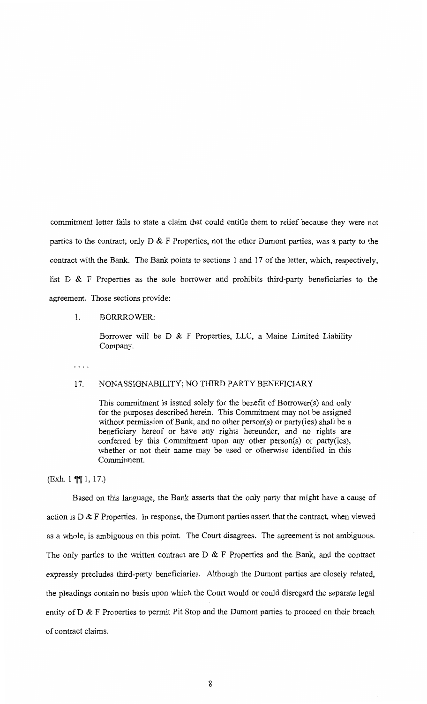commitment letter fails to state a claim that could entitle them to relief because they were not parties to the contract; only D & F Properties, not the other Dumont parties, was a party to the contract with the Bank. The Bank points to sections 1 and 17 of the letter, which, respectively, list  $D \& F$  Properties as the sole borrower and prohibits third-party beneficiaries to the agreement. Those sections provide:

#### 1. BORRROWER:

Borrower will be D & F Properties, LLC, a Maine Limited Liability Company.

. . . .

# 17. NONASSIGNABILITY; NO THIRD PARTY BENEFICIARY

This commitment is issued solely for the benefit of Borrower(s) and only for the purposes described herein. This Commitment may not be assigned without permission of Bank, and no other person(s) or party(ies) shall be a beneficiary hereof or have any rights hereunder, and no rights are conferred by this Commitment upon any other person(s) or party(ies), whether or not their name may be used or otherwise identified in this Commitment.

 $(Exh. 1 \text{ T} \cdot 1, 17.)$ 

Based on this language, the Bank asserts that the only party that might have a cause of action is  $D \& F$  Properties. In response, the Dumont parties assert that the contract, when viewed as a whole, is ambiguous on this point. The Court disagrees. The agreement is not ambiguous. The only parties to the written contract are  $D \& F$  Properties and the Bank, and the contract expressly precludes third-party beneficiaries. Although the Dumont parties are closely related, the pleadings contain no basis upon which the Court would or could disregard the separate legal entity of D & F Properties to permit Pit Stop and the Dumont parties to proceed on their breach of contract claims.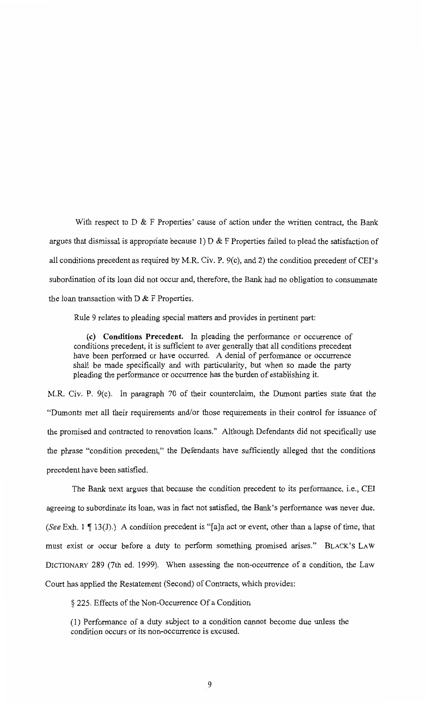With respect to D & F Properties' cause of action under the written contract, the Bank argues that dismissal is appropriate because 1)  $D \& F$  Properties failed to plead the satisfaction of all conditions precedent as required by M.R. Civ. P.  $9(c)$ , and 2) the condition precedent of CEI's subordination of its loan did not occur and, therefore, the Bank had no obligation to consummate the loan transaction with  $D \& F$  Properties.

Rule 9 relates to pleading special matters and provides in pertinent part:

(c) **Conditions Precedent.** In pleading the performance or occurrence of conditions precedent, it is sufficient to aver generally that all conditions precedent have been performed or have occurred. A denial of performance or occurrence shall be made specifically and with particularity, but when so made the party pleading the performance or occurrence has the burden of establishing it.

M.R. Civ. P. 9(c). In paragraph 70 of their counterclaim, the Dumont parties state that the "Dumonts met all their requirements and/or those requirements in their control for issuance of the promised and contracted to renovation loans." Although Defendants did not specifically use the phrase "condition precedent," the Defendants have sufficiently alleged that the conditions precedent have been satisfied.

The Bank next argues that because the condition precedent to its performance, i.e., CEI agreeing to subordinate its loan, was in fact not satisfied, the Bank's performance was never due. *(See Exh.* 1  $\P$  13(J).) A condition precedent is "[a]n act or event, other than a lapse of time, that must exist or occur before a duty to perform something promised arises." BLACK'S LAW DICTIONARY 289 (7th ed. 1999). When assessing the non-occurrence of a condition, the Law Court has applied the Restatement (Second) of Contracts, which provides:

§ 225. Effects of the Non-Occurrence Of a Condition

(1) Performance of a duty subject to a condition cannot become due unless the condition occurs or its non-occurrence is excused.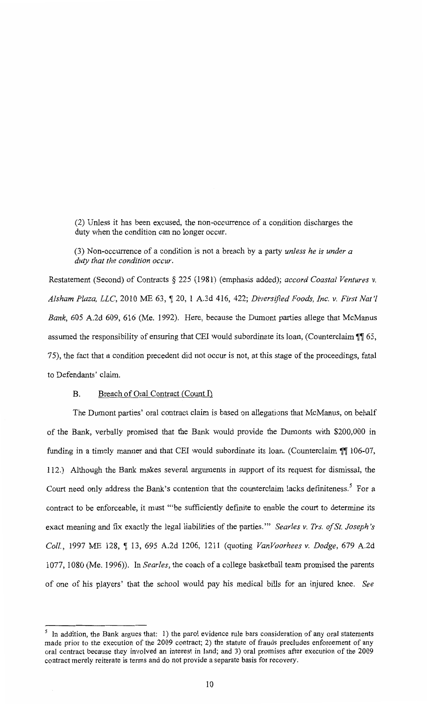(2) Unless it has been excused, the non-occurrence of a condition discharges the duty when the condition can no longer occur.

(3) Non-occurrence of a condition is not a breach by a party *unless he is under a duty that the condition occur.* 

Restatement (Second) of Contracts *§* 225 (1981) (emphasis added); *accord Coastal Ventures v. Alsham Plaza, LLC, 2010 ME 63, ¶ 20, 1 A.3d 416, 422; Diversified Foods, Inc. v. First Nat'l Bank,* 605 A.2d 609, 616 (Me. 1992). Here, because the Dumont parties allege that McManus assumed the responsibility of ensuring that CEI would subordinate its loan, (Counterclaim  $\P$  65, 75), the fact that a condition precedent did not occur is not, at this stage of the proceedings, fatal to Defendants' claim.

# B. Breach of Oral Contract (Count I)

The Dumont parties' oral contract claim is based on allegations that McManus, on behalf of the Bank, verbally promised that the Bank would provide the Dumonts with \$200,000 in funding in a timely manner and that CEI would subordinate its loan. (Counterclaim  $\P$  106-07, 112.) Although the Bank makes several arguments in support of its request for dismissal, the Court need only address the Bank's contention that the counterclaim lacks definiteness.<sup>5</sup> For a contract to be enforceable, it must "'be sufficiently definite to enable the court to determine its exact meaning and fix exactly the legal liabilities of the parties."' *Searles v. Trs. of St. Joseph's Coll.,* 1997 ME 128, 1 13, 695 A.2d 1206, 1211 (quoting *VanVoorhees v. Dodge,* 679 A.2d 1077, 1080 (Me. 1996)). In *Searles,* the coach of a college basketball team promised the parents of one of his players' that the school would pay his medical bills for an injured knee. *See* 

<sup>&</sup>lt;sup>5</sup> In addition, the Bank argues that: 1) the parol evidence rule bars consideration of any oral statements made prior to the execution of the 2009 contract; 2) the statute of frauds precludes enforcement of any oral contract because they involved an interest in land; and 3) oral promises after execution of the 2009 contract merely reiterate is terms and do not provide a separate basis for recovery.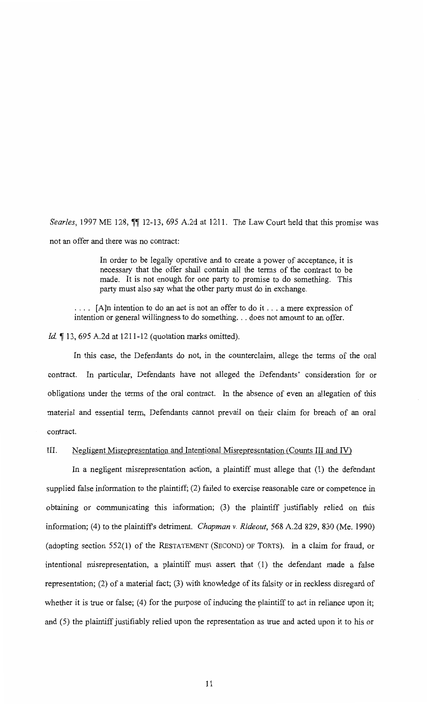*Searles*, 1997 ME 128,  $\parallel$  12-13, 695 A.2d at 1211. The Law Court held that this promise was not an offer and there was no contract:

> In order to be legally operative and to create a power of acceptance, it is necessary that the offer shall contain all the terms of the contract to be made. It is not enough for one party to promise to do something. This party must also say what the other party must do in exchange.

 $\ldots$  [A]n intention to do an act is not an offer to do it  $\ldots$  a mere expression of intention or general willingness to do something. . . does not amount to an offer.

*Id.* 13, 695 A.2d at 1211-12 (quotation marks omitted).

In this case, the Defendants do not, in the counterclaim, allege the terms of the oral contract. In particular, Defendants have not alleged the Defendants' consideration for or obligations under the terms of the oral contract. In the absence of even an allegation of this material and essential term, Defendants cannot prevail on their claim for breach of an oral contract.

#### III. Negligent Misrepresentation and Intentional Misrepresentation (Counts III and IV)

In a negligent misrepresentation action, a plaintiff must allege that (1) the defendant supplied false information to the plaintiff; (2) failed to exercise reasonable care or competence in obtaining or communicating this information; (3) the plaintiff justifiably relied on this information; (4) to the plaintiffs detriment. *Chapman v. Rideout,* 568 A.2d 829, 830 (Me. 1990) (adopting section 552(1) of the RESTATEMENT (SECOND) OF TORTS). In a claim for fraud, or intentional misrepresentation, a plaintiff must assert that (1) the defendant made a false representation; (2) of a material fact; (3) with knowledge of its falsity or in reckless disregard of whether it is true or false; (4) for the purpose of inducing the plaintiff to act in reliance upon it; and (5) the plaintiff justifiably relied upon the representation as true and acted upon it to his or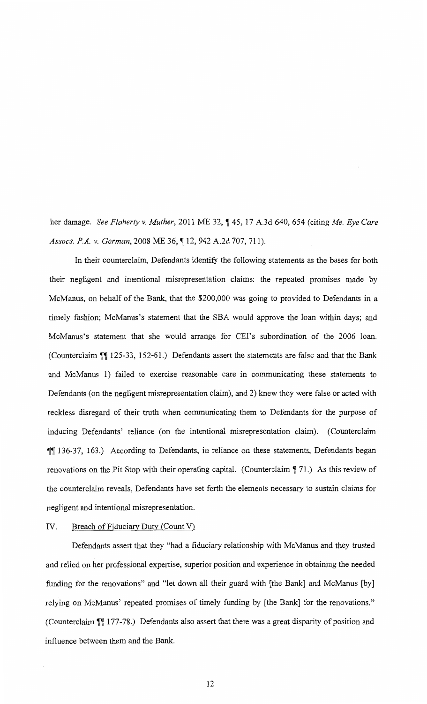her damage. *See Flaherty v. Muther,* 2011 ME 32, **,-r** 45, 17 A.3d 640, 654 (citing *Me. Eye Care Assocs. P.A. v. Gorman,* 2008 ME 36, **,-r** 12, 942 A.2d 707, 711).

In their counterclaim, Defendants identify the following statements as the bases for both their negligent and intentional misrepresentation claims: the repeated promises made by McManus, on behalf of the Bank, that the \$200,000 was going to provided to Defendants in a timely fashion; McManus's statement that the SBA would approve the loan within days; and McManus's statement that she would arrange for CEI's subordination of the 2006 loan. (Counterclaim **11** 125-33, 152-61.) Defendants assert the statements are false and that the Bank and McManus 1) failed to exercise reasonable care in communicating these statements to Defendants (on the negligent misrepresentation claim), and 2) knew they were false or acted with reckless disregard of their truth when communicating them to Defendants for the purpose of inducing Defendants' reliance (on the intentional misrepresentation claim). (Counterclaim **II** 136-37, 163.) According to Defendants, in reliance on these statements, Defendants began renovations on the Pit Stop with their operating capital. (Counterclaim 171.) As this review of the counterclaim reveals, Defendants have set forth the elements necessary to sustain claims for negligent and intentional misrepresentation.

# IV. Breach of Fiduciary Duty (Count V)

Defendants assert that they "had a fiduciary relationship with McManus and they trusted and relied on her professional expertise, superior position and experience in obtaining the needed funding for the renovations" and "let down all their guard with [the Bank] and McManus [by] relying on McManus' repeated promises of timely funding by [the Bank] for the renovations." (Counterclaim **\[\etallectarror** 2177-78.) Defendants also assert that there was a great disparity of position and influence between them and the Bank.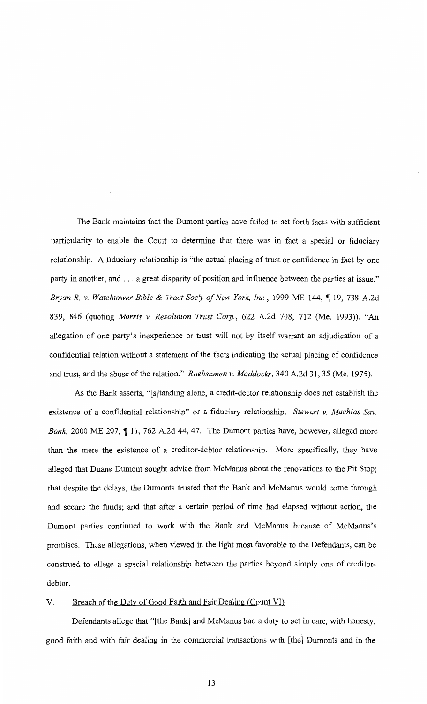The Bank maintains that the Dumont parties have failed to set forth facts with sufficient particularity to enable the Court to determine that there was in fact a special or fiduciary relationship. A fiduciary relationship is "the actual placing of trust or confidence in fact by one party in another, and ... a great disparity of position and influence between the parties at issue." *Bryan R. v. Watchtower Bible & Tract Soc'y of New York, Inc.,* 1999 ME 144, ¶ 19, 738 A.2d 839, 846 (quoting *Morris v. Resolution Trust Corp.,* 622 A.2d 708, 712 (Me. 1993)). "An allegation of one party's inexperience or trust will not by itself warrant an adjudication of a confidential relation without a statement of the facts indicating the actual placing of confidence and trust, and the abuse of the relation." *Ruebsamen v. Maddocks*, 340 A.2d 31, 35 (Me. 1975).

As the Bank asserts, "[s]tanding alone, a credit-debtor relationship does not establish the existence of a confidential relationship" or a fiduciary relationship. *Stewart v. Machias Sav.*  Bank, 2000 ME 207, 11, 762 A.2d 44, 47. The Dumont parties have, however, alleged more than the mere the existence of a creditor-debtor relationship. More specifically, they have alleged that Duane Dumont sought advice from McManus about the renovations to the Pit Stop; that despite the delays, the Dumonts trusted that the Bank and McManus would come through and secure the funds; and that after a certain period of time had elapsed without action, the Dumont parties continued to work with the Bank and McManus because of McManus's promises. These allegations, when viewed in the light most favorable to the Defendants, can be construed to allege a special relationship between the parties beyond simply one of creditordebtor.

# V. Breach of the Duty of Good Faith and Fair Dealing (Count VI)

Defendants allege that "[the Bank] and McManus had a duty to act in care, with honesty, good faith and with fair dealing in the commercial transactions with [the] Dumonts and in the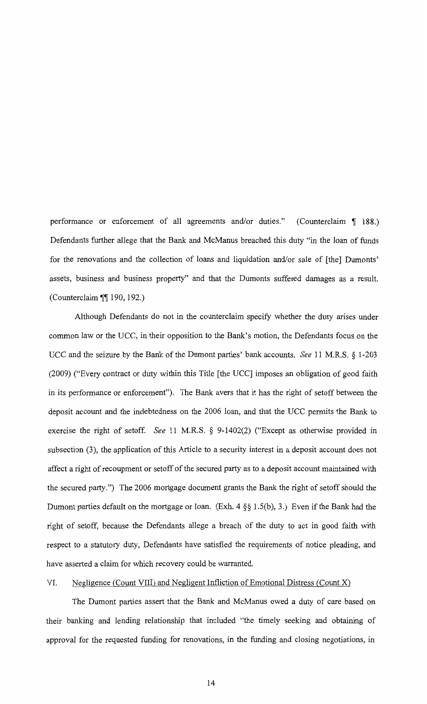performance or enforcement of all agreements and/or duties." (Counterclaim  $\llbracket 188.$ ) Defendants further allege that the Bank and McManus breached this duty "in the loan of funds for the renovations and the collection of loans and liquidation and/or sale of [the] Dumonts' assets, business and business property" and that the Dumonts suffered damages as a result. (Counterclaim  $\P$ [190, 192.)

Although Defendants do not in the counterclaim specify whether the duty arises under common law or the UCC, in their opposition to the Bank's motion, the Defendants focus on the UCC and the seizure by the Bank of the Dumont parties' bank accounts. *See* 11 M.R.S. § 1-203 (2009) ("Every contract or duty within this Title [the UCC] imposes an obligation of good faith in its performance or enforcement"). The Bank avers that it has the right of setoff between the deposit account and the indebtedness on the 2006 loan, and that the UCC permits the Bank to exercise the right of setoff. *See* 11 M.R.S. § 9-1402(2) ("Except as otherwise provided in subsection (3), the application of this Article to a security interest in a deposit account does not affect a right of recoupment or setoff of the secured party as to a deposit account maintained with the secured party.") The 2006 mortgage document grants the Bank the right of setoff should the Dumont parties default on the mortgage or loan. (Exh. 4 §§ 1.5(b), 3.) Even if the Bank had the right of setoff, because the Defendants allege a breach of the duty to act in good faith with respect to a statutory duty, Defendants have satisfied the requirements of notice pleading, and have asserted a claim for which recovery could be warranted.

#### VI. Negligence (Count VIII) and Negligent Infliction of Emotional Distress (Count X)

The Dumont parties assert that the Bank and McManus owed a duty of care based on their banking and lending relationship that included "the timely seeking and obtaining of approval for the requested funding for renovations, in the funding and closing negotiations, in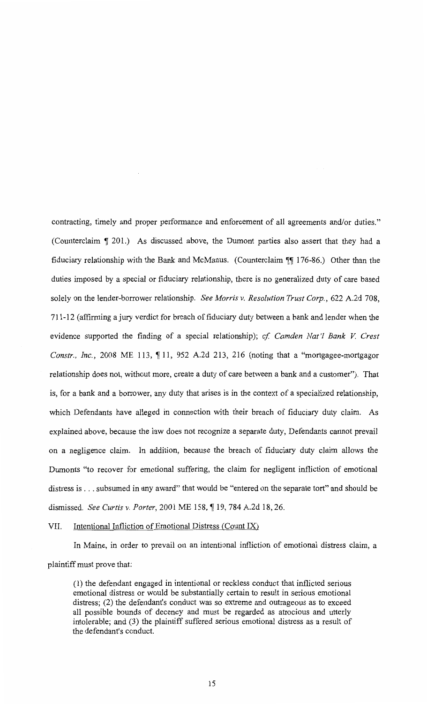contracting, timely and proper performance and enforcement of all agreements and/or duties." (Counterclaim  $\P$  201.) As discussed above, the Dumont parties also assert that they had a fiduciary relationship with the Bank and McManus. (Counterclaim  $\P$ ] 176-86.) Other than the duties imposed by a special or fiduciary relationship, there is no generalized duty of care based solely on the lender-borrower relationship. *See Morris v. Resolution Trust Corp.,* 622 A.2d 708, 711-12 (affirming a jury verdict for breach of fiduciary duty between a bank and lender when the evidence supported the finding of a special relationship); *cf Camden Nat'! Bank V Crest Constr., Inc.*, 2008 ME 113, 11, 952 A.2d 213, 216 (noting that a "mortgagee-mortgagor relationship does not, without more, create a duty of care between a bank and a customer"). That is, for a bank and a borrower, any duty that arises is in the context of a specialized relationship, which Defendants have alleged in connection with their breach of fiduciary duty claim. As explained above, because the law does not recognize a separate duty, Defendants cannot prevail on a negligence claim. In addition, because the breach of fiduciary duty claim allows the Dumonts "to recover for emotional suffering, the claim for negligent infliction of emotional distress is ... subsumed in any award" that would be "entered on the separate tort" and should be dismissed. *See Curtis v. Porter*, 2001 ME 158, ¶ 19, 784 A.2d 18, 26.

#### VII. Intentional Infliction of Emotional Distress (Count IX)

In Maine, in order to prevail on an intentional infliction of emotional distress claim, a plaintiff must prove that:

(1) the defendant engaged in intentional or reckless conduct that inflicted serious emotional distress or would be substantially certain to result in serious emotional distress; (2) the defendant's conduct was so extreme and outrageous as to exceed all possible bounds of decency and must be regarded as atrocious and utterly intolerable; and (3) the plaintiff suffered serious emotional distress as a result of the defendant's conduct.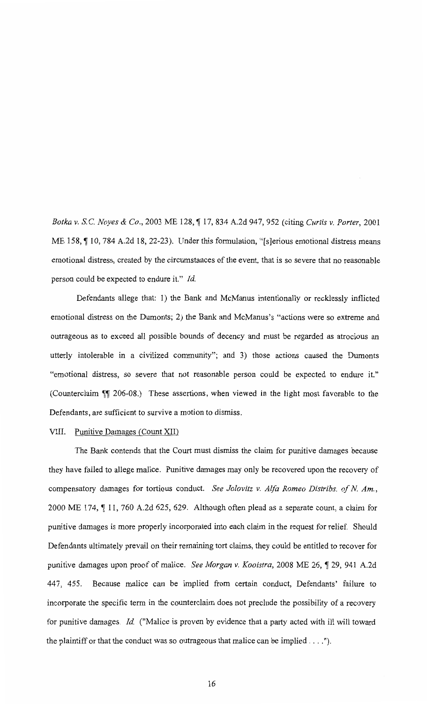*Botka v. S.C. Noyes* & *Co.,* 2003 ME I28, ~ I7, 834 A.2d 947, 952 (citing *Curtis v. Porter,* 2001 ME 158, 10, 784 A.2d 18, 22-23). Under this formulation, "[s]erious emotional distress means emotional distress, created by the circumstances of the event, that is so severe that no reasonable person could be expected to endure it." *Id* 

Defendants allege that: 1) the Bank and McManus intentionally or recklessly inflicted emotional distress on the Dumonts; 2) the Bank and McManus's "actions were so extreme and outrageous as to exceed all possible bounds of decency and must be regarded as atrocious an utterly intolerable in a civilized community"; and 3) those actions caused the Dumonts "emotional distress, so severe that not reasonable person could be expected to endure it." (Counterclaim  $\sqrt{\phantom{a}}$  206-08.) These assertions, when viewed in the light most favorable to the Defendants, are sufficient to survive a motion to dismiss.

#### VIII. Punitive Damages (Count XII)

The Bank contends that the Court must dismiss the claim for punitive damages because they have failed to allege malice. Punitive damages may only be recovered upon the recovery of compensatory damages for tortious conduct. *See Jolovitz v. A !fa Romeo Distribs. of N Am.,*  2000 ME 174,  $\parallel$  11, 760 A.2d 625, 629. Although often plead as a separate count, a claim for punitive damages is more properly incorporated into each claim in the request for relief. Should Defendants ultimately prevail on their remaining tort claims, they could be entitled to recover for punitive damages upon proof of malice. *See Morgan v. Kooistra*, 2008 ME 26, ¶ 29, 941 A.2d 447, 455. Because malice can be implied from certain conduct, Defendants' failure to incorporate the specific term in the counterclaim does not preclude the possibility of a recovery for punitive damages. *Id* ("Malice is proven by evidence that a party acted with ill will toward the plaintiff or that the conduct was so outrageous that malice can be implied .... ").